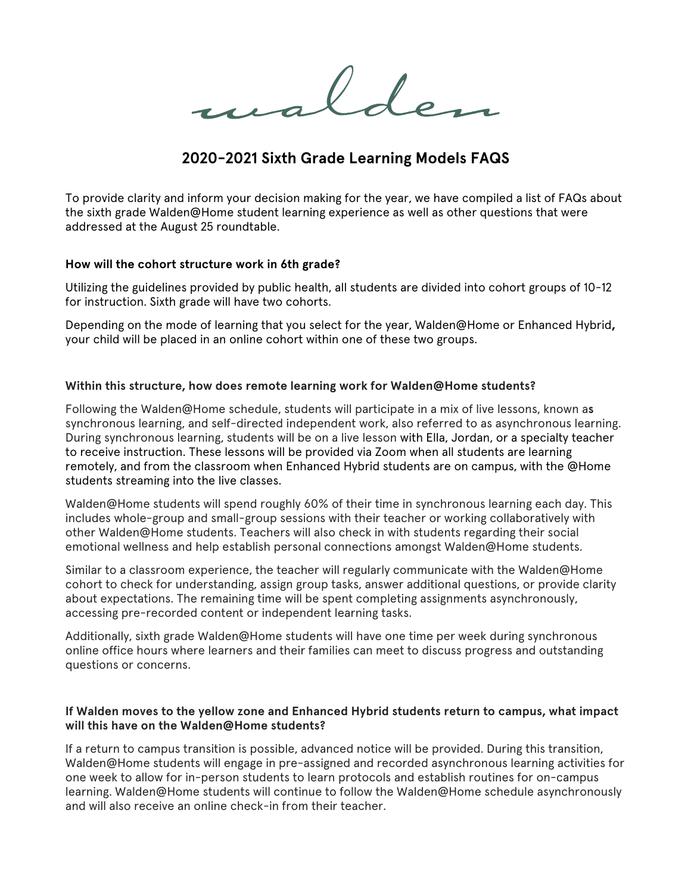Iden

# **2020-2021 Sixth Grade Learning Models FAQS**

To provide clarity and inform your decision making for the year, we have compiled a list of FAQs about the sixth grade Walden@Home student learning experience as well as other questions that were addressed at the August 25 roundtable.

## **How will the cohort structure work in 6th grade?**

Utilizing the guidelines provided by public health, all students are divided into cohort groups of 10-12 for instruction. Sixth grade will have two cohorts.

Depending on the mode of learning that you select for the year, Walden@Home or Enhanced Hybrid**,**  your child will be placed in an online cohort within one of these two groups.

## **Within this structure, how does remote learning work for Walden@Home students?**

Following the Walden@Home schedule, students will participate in a mix of live lessons, known a**s** synchronous learning, and self-directed independent work, also referred to as asynchronous learning. During synchronous learning, students will be on a live lesson with Ella, Jordan, or a specialty teacher to receive instruction. These lessons will be provided via Zoom when all students are learning remotely, and from the classroom when Enhanced Hybrid students are on campus, with the @Home students streaming into the live classes.

Walden@Home students will spend roughly 60% of their time in synchronous learning each day. This includes whole-group and small-group sessions with their teacher or working collaboratively with other Walden@Home students. Teachers will also check in with students regarding their social emotional wellness and help establish personal connections amongst Walden@Home students.

Similar to a classroom experience, the teacher will regularly communicate with the Walden@Home cohort to check for understanding, assign group tasks, answer additional questions, or provide clarity about expectations. The remaining time will be spent completing assignments asynchronously, accessing pre-recorded content or independent learning tasks.

Additionally, sixth grade Walden@Home students will have one time per week during synchronous online office hours where learners and their families can meet to discuss progress and outstanding questions or concerns.

# **If Walden moves to the yellow zone and Enhanced Hybrid students return to campus, what impact will this have on the Walden@Home students?**

If a return to campus transition is possible, advanced notice will be provided. During this transition, Walden@Home students will engage in pre-assigned and recorded asynchronous learning activities for one week to allow for in-person students to learn protocols and establish routines for on-campus learning. Walden@Home students will continue to follow the Walden@Home schedule asynchronously and will also receive an online check-in from their teacher.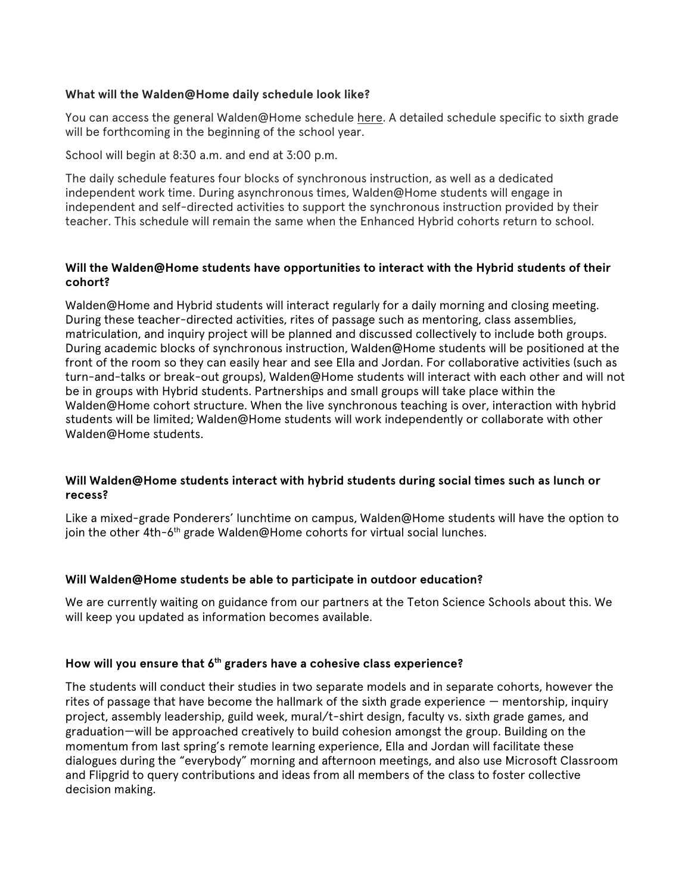# **What will the Walden@Home daily schedule look like?**

You can access the general Walden@Home schedule here. A detailed schedule specific to sixth grade will be forthcoming in the beginning of the school year.

School will begin at 8:30 a.m. and end at 3:00 p.m.

The daily schedule features four blocks of synchronous instruction, as well as a dedicated independent work time. During asynchronous times, Walden@Home students will engage in independent and self-directed activities to support the synchronous instruction provided by their teacher. This schedule will remain the same when the Enhanced Hybrid cohorts return to school.

# **Will the Walden@Home students have opportunities to interact with the Hybrid students of their cohort?**

Walden@Home and Hybrid students will interact regularly for a daily morning and closing meeting. During these teacher-directed activities, rites of passage such as mentoring, class assemblies, matriculation, and inquiry project will be planned and discussed collectively to include both groups. During academic blocks of synchronous instruction, Walden@Home students will be positioned at the front of the room so they can easily hear and see Ella and Jordan. For collaborative activities (such as turn-and-talks or break-out groups), Walden@Home students will interact with each other and will not be in groups with Hybrid students. Partnerships and small groups will take place within the Walden@Home cohort structure. When the live synchronous teaching is over, interaction with hybrid students will be limited; Walden@Home students will work independently or collaborate with other Walden@Home students.

# **Will Walden@Home students interact with hybrid students during social times such as lunch or recess?**

Like a mixed-grade Ponderers' lunchtime on campus, Walden@Home students will have the option to join the other 4th-6<sup>th</sup> grade Walden@Home cohorts for virtual social lunches.

## **Will Walden@Home students be able to participate in outdoor education?**

We are currently waiting on guidance from our partners at the Teton Science Schools about this. We will keep you updated as information becomes available.

# **How will you ensure that 6th graders have a cohesive class experience?**

The students will conduct their studies in two separate models and in separate cohorts, however the rites of passage that have become the hallmark of the sixth grade experience — mentorship, inquiry project, assembly leadership, guild week, mural/t-shirt design, faculty vs. sixth grade games, and graduation—will be approached creatively to build cohesion amongst the group. Building on the momentum from last spring's remote learning experience, Ella and Jordan will facilitate these dialogues during the "everybody" morning and afternoon meetings, and also use Microsoft Classroom and Flipgrid to query contributions and ideas from all members of the class to foster collective decision making.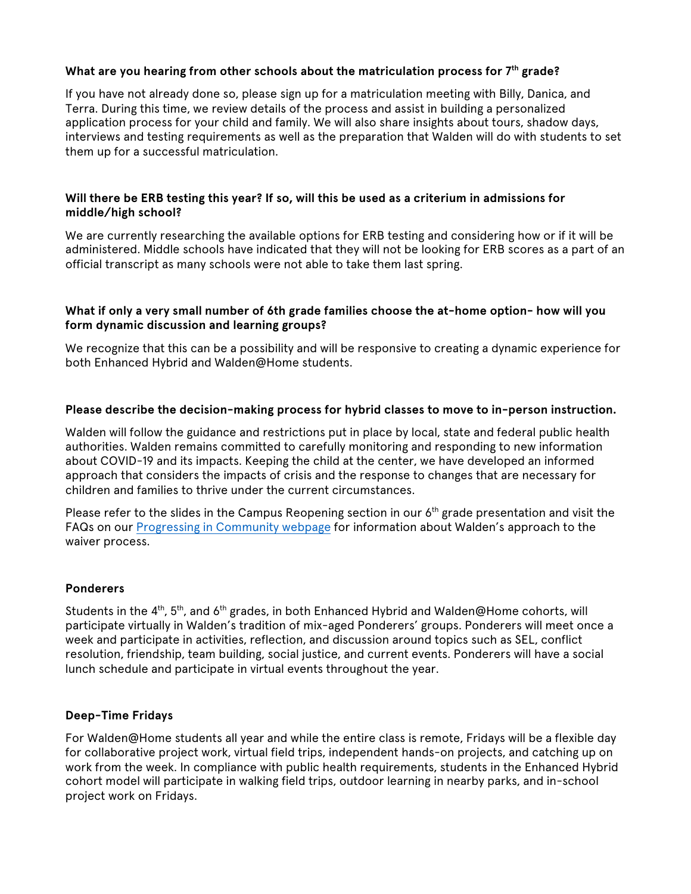# **What are you hearing from other schools about the matriculation process for 7th grade?**

If you have not already done so, please sign up for a matriculation meeting with Billy, Danica, and Terra. During this time, we review details of the process and assist in building a personalized application process for your child and family. We will also share insights about tours, shadow days, interviews and testing requirements as well as the preparation that Walden will do with students to set them up for a successful matriculation.

# **Will there be ERB testing this year? If so, will this be used as a criterium in admissions for middle/high school?**

We are currently researching the available options for ERB testing and considering how or if it will be administered. Middle schools have indicated that they will not be looking for ERB scores as a part of an official transcript as many schools were not able to take them last spring.

# **What if only a very small number of 6th grade families choose the at-home option- how will you form dynamic discussion and learning groups?**

We recognize that this can be a possibility and will be responsive to creating a dynamic experience for both Enhanced Hybrid and Walden@Home students.

## **Please describe the decision-making process for hybrid classes to move to in-person instruction.**

Walden will follow the guidance and restrictions put in place by local, state and federal public health authorities. Walden remains committed to carefully monitoring and responding to new information about COVID-19 and its impacts. Keeping the child at the center, we have developed an informed approach that considers the impacts of crisis and the response to changes that are necessary for children and families to thrive under the current circumstances.

Please refer to the slides in the Campus Reopening section in our  $6<sup>th</sup>$  grade presentation and visit the FAQs on our Progressing in Community webpage for information about Walden's approach to the waiver process.

## **Ponderers**

Students in the 4<sup>th</sup>, 5<sup>th</sup>, and 6<sup>th</sup> grades, in both Enhanced Hybrid and Walden@Home cohorts, will participate virtually in Walden's tradition of mix-aged Ponderers' groups. Ponderers will meet once a week and participate in activities, reflection, and discussion around topics such as SEL, conflict resolution, friendship, team building, social justice, and current events. Ponderers will have a social lunch schedule and participate in virtual events throughout the year.

## **Deep-Time Fridays**

For Walden@Home students all year and while the entire class is remote, Fridays will be a flexible day for collaborative project work, virtual field trips, independent hands-on projects, and catching up on work from the week. In compliance with public health requirements, students in the Enhanced Hybrid cohort model will participate in walking field trips, outdoor learning in nearby parks, and in-school project work on Fridays.